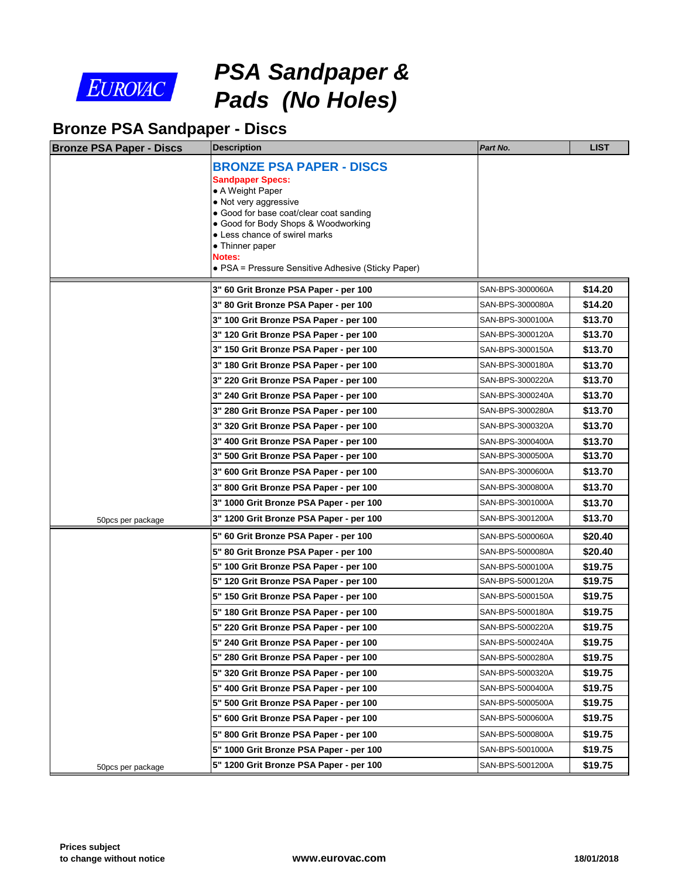

*PSA Sandpaper & Pads (No Holes)*

## **Bronze PSA Sandpaper - Discs**

| <b>Bronze PSA Paper - Discs</b> | <b>Description</b>                                               | Part No.         |
|---------------------------------|------------------------------------------------------------------|------------------|
|                                 | <b>BRONZE PSA PAPER - DISCS</b>                                  |                  |
|                                 | <b>Sandpaper Specs:</b>                                          |                  |
|                                 | • A Weight Paper                                                 |                  |
|                                 | • Not very aggressive<br>• Good for base coat/clear coat sanding |                  |
|                                 | • Good for Body Shops & Woodworking                              |                  |
|                                 | • Less chance of swirel marks<br>• Thinner paper                 |                  |
|                                 | Notes:                                                           |                  |
|                                 | • PSA = Pressure Sensitive Adhesive (Sticky Paper)               |                  |
|                                 | 3" 60 Grit Bronze PSA Paper - per 100                            | SAN-BPS-3000060A |
|                                 | 3" 80 Grit Bronze PSA Paper - per 100                            | SAN-BPS-3000080A |
|                                 | 3" 100 Grit Bronze PSA Paper - per 100                           | SAN-BPS-3000100A |
|                                 | 3" 120 Grit Bronze PSA Paper - per 100                           | SAN-BPS-3000120A |
|                                 | 3" 150 Grit Bronze PSA Paper - per 100                           | SAN-BPS-3000150A |
|                                 | 3" 180 Grit Bronze PSA Paper - per 100                           | SAN-BPS-3000180A |
|                                 | 3" 220 Grit Bronze PSA Paper - per 100                           | SAN-BPS-3000220A |
|                                 | 3" 240 Grit Bronze PSA Paper - per 100                           | SAN-BPS-3000240A |
|                                 | 3" 280 Grit Bronze PSA Paper - per 100                           | SAN-BPS-3000280A |
|                                 | 3" 320 Grit Bronze PSA Paper - per 100                           | SAN-BPS-3000320A |
|                                 | 3" 400 Grit Bronze PSA Paper - per 100                           | SAN-BPS-3000400A |
|                                 | 3" 500 Grit Bronze PSA Paper - per 100                           | SAN-BPS-3000500A |
|                                 | 3" 600 Grit Bronze PSA Paper - per 100                           | SAN-BPS-3000600A |
|                                 | 3" 800 Grit Bronze PSA Paper - per 100                           | SAN-BPS-3000800A |
|                                 | 3" 1000 Grit Bronze PSA Paper - per 100                          | SAN-BPS-3001000A |
| 50pcs per package               | 3" 1200 Grit Bronze PSA Paper - per 100                          | SAN-BPS-3001200A |
|                                 | 5" 60 Grit Bronze PSA Paper - per 100                            | SAN-BPS-5000060A |
|                                 | 5" 80 Grit Bronze PSA Paper - per 100                            | SAN-BPS-5000080A |
|                                 | 5" 100 Grit Bronze PSA Paper - per 100                           | SAN-BPS-5000100A |
|                                 | 5" 120 Grit Bronze PSA Paper - per 100                           | SAN-BPS-5000120A |
|                                 | 5" 150 Grit Bronze PSA Paper - per 100                           | SAN-BPS-5000150A |
|                                 | 5" 180 Grit Bronze PSA Paper - per 100                           | SAN-BPS-5000180A |
|                                 | 5" 220 Grit Bronze PSA Paper - per 100                           | SAN-BPS-5000220A |
|                                 | 5" 240 Grit Bronze PSA Paper - per 100                           | SAN-BPS-5000240A |
|                                 | 5" 280 Grit Bronze PSA Paper - per 100                           | SAN-BPS-5000280A |
|                                 | 5" 320 Grit Bronze PSA Paper - per 100                           | SAN-BPS-5000320A |
|                                 | 5" 400 Grit Bronze PSA Paper - per 100                           | SAN-BPS-5000400A |
|                                 | 5" 500 Grit Bronze PSA Paper - per 100                           | SAN-BPS-5000500A |
|                                 | 5" 600 Grit Bronze PSA Paper - per 100                           | SAN-BPS-5000600A |
|                                 | 5" 800 Grit Bronze PSA Paper - per 100                           | SAN-BPS-5000800A |
|                                 | 5" 1000 Grit Bronze PSA Paper - per 100                          | SAN-BPS-5001000A |
| 50pcs per package               | 5" 1200 Grit Bronze PSA Paper - per 100                          | SAN-BPS-5001200A |
|                                 |                                                                  |                  |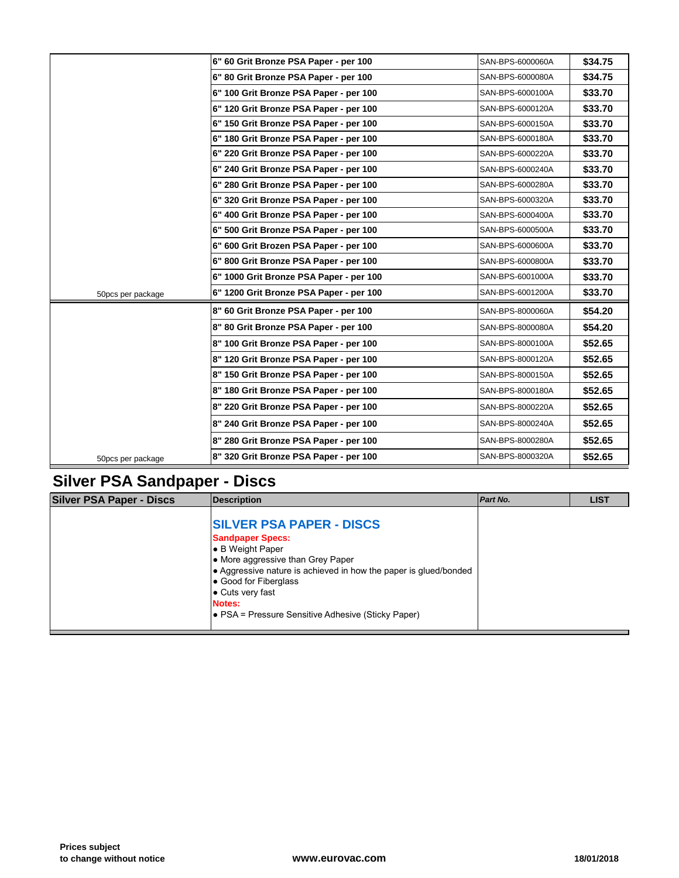|                   | 6" 60 Grit Bronze PSA Paper - per 100   | SAN-BPS-6000060A |
|-------------------|-----------------------------------------|------------------|
|                   | 6" 80 Grit Bronze PSA Paper - per 100   | SAN-BPS-6000080A |
|                   | 6" 100 Grit Bronze PSA Paper - per 100  | SAN-BPS-6000100A |
|                   | 6" 120 Grit Bronze PSA Paper - per 100  | SAN-BPS-6000120A |
|                   | 6" 150 Grit Bronze PSA Paper - per 100  | SAN-BPS-6000150A |
|                   | 6" 180 Grit Bronze PSA Paper - per 100  | SAN-BPS-6000180A |
|                   | 6" 220 Grit Bronze PSA Paper - per 100  | SAN-BPS-6000220A |
|                   | 6" 240 Grit Bronze PSA Paper - per 100  | SAN-BPS-6000240A |
|                   | 6" 280 Grit Bronze PSA Paper - per 100  | SAN-BPS-6000280A |
|                   | 6" 320 Grit Bronze PSA Paper - per 100  | SAN-BPS-6000320A |
|                   | 6" 400 Grit Bronze PSA Paper - per 100  | SAN-BPS-6000400A |
|                   | 6" 500 Grit Bronze PSA Paper - per 100  | SAN-BPS-6000500A |
|                   | 6" 600 Grit Brozen PSA Paper - per 100  | SAN-BPS-6000600A |
|                   | 6" 800 Grit Bronze PSA Paper - per 100  | SAN-BPS-6000800A |
|                   | 6" 1000 Grit Bronze PSA Paper - per 100 | SAN-BPS-6001000A |
| 50pcs per package | 6" 1200 Grit Bronze PSA Paper - per 100 | SAN-BPS-6001200A |
|                   | 8" 60 Grit Bronze PSA Paper - per 100   | SAN-BPS-8000060A |
|                   | 8" 80 Grit Bronze PSA Paper - per 100   | SAN-BPS-8000080A |
|                   | 8" 100 Grit Bronze PSA Paper - per 100  | SAN-BPS-8000100A |
|                   | 8" 120 Grit Bronze PSA Paper - per 100  | SAN-BPS-8000120A |
|                   | 8" 150 Grit Bronze PSA Paper - per 100  | SAN-BPS-8000150A |
|                   | 8" 180 Grit Bronze PSA Paper - per 100  | SAN-BPS-8000180A |
|                   | 8" 220 Grit Bronze PSA Paper - per 100  | SAN-BPS-8000220A |
|                   | 8" 240 Grit Bronze PSA Paper - per 100  | SAN-BPS-8000240A |
|                   | 8" 280 Grit Bronze PSA Paper - per 100  | SAN-BPS-8000280A |
| 50pcs per package | 8" 320 Grit Bronze PSA Paper - per 100  | SAN-BPS-8000320A |

## **Silver PSA Sandpaper - Discs**

| <b>Silver PSA Paper - Discs</b> | <b>Description</b>                                                                                                                                                                                                                                                                                  | Part No. |  |
|---------------------------------|-----------------------------------------------------------------------------------------------------------------------------------------------------------------------------------------------------------------------------------------------------------------------------------------------------|----------|--|
|                                 | <b>SILVER PSA PAPER - DISCS</b><br><b>Sandpaper Specs:</b><br>l● B Weight Paper<br>• More aggressive than Grey Paper<br>• Aggressive nature is achieved in how the paper is glued/bonded<br>Good for Fiberglass<br>• Cuts very fast<br>Notes:<br>• PSA = Pressure Sensitive Adhesive (Sticky Paper) |          |  |
|                                 |                                                                                                                                                                                                                                                                                                     |          |  |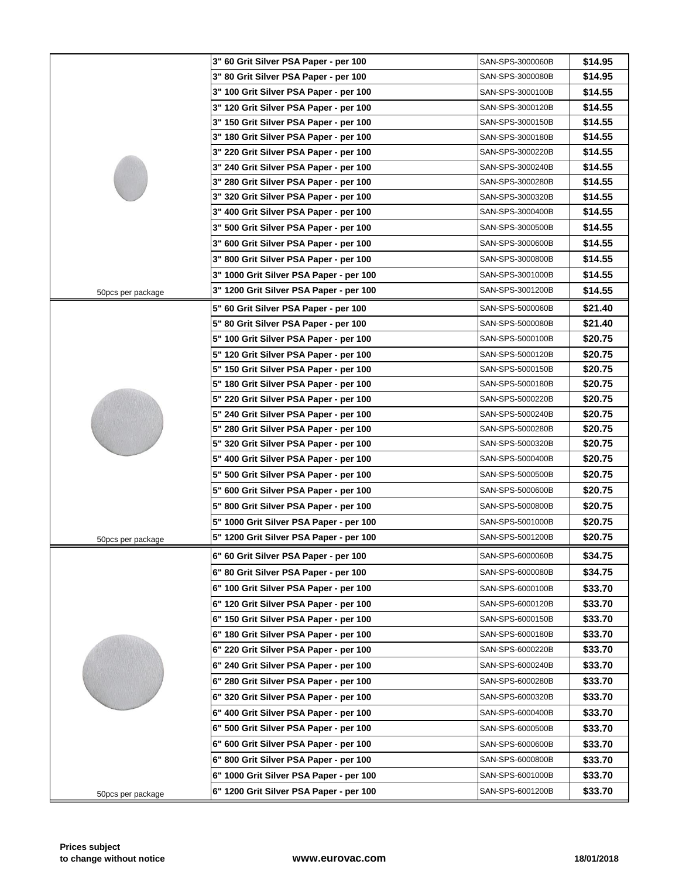|                   | 3" 60 Grit Silver PSA Paper - per 100   | SAN-SPS-3000060B |
|-------------------|-----------------------------------------|------------------|
|                   | 3" 80 Grit Silver PSA Paper - per 100   | SAN-SPS-3000080B |
|                   | 3" 100 Grit Silver PSA Paper - per 100  | SAN-SPS-3000100B |
|                   | 3" 120 Grit Silver PSA Paper - per 100  | SAN-SPS-3000120B |
|                   | 3" 150 Grit Silver PSA Paper - per 100  | SAN-SPS-3000150B |
|                   | 3" 180 Grit Silver PSA Paper - per 100  | SAN-SPS-3000180B |
|                   | 3" 220 Grit Silver PSA Paper - per 100  | SAN-SPS-3000220B |
|                   | 3" 240 Grit Silver PSA Paper - per 100  | SAN-SPS-3000240B |
|                   | 3" 280 Grit Silver PSA Paper - per 100  | SAN-SPS-3000280B |
|                   | 3" 320 Grit Silver PSA Paper - per 100  | SAN-SPS-3000320B |
|                   | 3" 400 Grit Silver PSA Paper - per 100  | SAN-SPS-3000400B |
|                   | 3" 500 Grit Silver PSA Paper - per 100  | SAN-SPS-3000500B |
|                   | 3" 600 Grit Silver PSA Paper - per 100  | SAN-SPS-3000600B |
|                   | 3" 800 Grit Silver PSA Paper - per 100  | SAN-SPS-3000800B |
|                   | 3" 1000 Grit Silver PSA Paper - per 100 | SAN-SPS-3001000B |
|                   | 3" 1200 Grit Silver PSA Paper - per 100 | SAN-SPS-3001200B |
| 50pcs per package |                                         |                  |
|                   | 5" 60 Grit Silver PSA Paper - per 100   | SAN-SPS-5000060B |
|                   | 5" 80 Grit Silver PSA Paper - per 100   | SAN-SPS-5000080B |
|                   | 5" 100 Grit Silver PSA Paper - per 100  | SAN-SPS-5000100B |
|                   | 5" 120 Grit Silver PSA Paper - per 100  | SAN-SPS-5000120B |
|                   | 5" 150 Grit Silver PSA Paper - per 100  | SAN-SPS-5000150B |
|                   | 5" 180 Grit Silver PSA Paper - per 100  | SAN-SPS-5000180B |
|                   | 5" 220 Grit Silver PSA Paper - per 100  | SAN-SPS-5000220B |
|                   | 5" 240 Grit Silver PSA Paper - per 100  | SAN-SPS-5000240B |
|                   | 5" 280 Grit Silver PSA Paper - per 100  | SAN-SPS-5000280B |
|                   | 5" 320 Grit Silver PSA Paper - per 100  | SAN-SPS-5000320B |
|                   | 5" 400 Grit Silver PSA Paper - per 100  | SAN-SPS-5000400B |
|                   | 5" 500 Grit Silver PSA Paper - per 100  | SAN-SPS-5000500B |
|                   | 5" 600 Grit Silver PSA Paper - per 100  | SAN-SPS-5000600B |
|                   | 5" 800 Grit Silver PSA Paper - per 100  | SAN-SPS-5000800B |
|                   | 5" 1000 Grit Silver PSA Paper - per 100 | SAN-SPS-5001000B |
| 50pcs per package | 5" 1200 Grit Silver PSA Paper - per 100 | SAN-SPS-5001200B |
|                   | 6" 60 Grit Silver PSA Paper - per 100   | SAN-SPS-6000060B |
|                   | 6" 80 Grit Silver PSA Paper - per 100   | SAN-SPS-6000080B |
|                   | 6" 100 Grit Silver PSA Paper - per 100  | SAN-SPS-6000100B |
|                   | 6" 120 Grit Silver PSA Paper - per 100  |                  |
|                   | 6" 150 Grit Silver PSA Paper - per 100  | SAN-SPS-6000120B |
|                   |                                         | SAN-SPS-6000150B |
|                   | 6" 180 Grit Silver PSA Paper - per 100  | SAN-SPS-6000180B |
|                   | 6" 220 Grit Silver PSA Paper - per 100  | SAN-SPS-6000220B |
|                   | 6" 240 Grit Silver PSA Paper - per 100  | SAN-SPS-6000240B |
|                   | 6" 280 Grit Silver PSA Paper - per 100  | SAN-SPS-6000280B |
|                   | 6" 320 Grit Silver PSA Paper - per 100  | SAN-SPS-6000320B |
|                   | 6" 400 Grit Silver PSA Paper - per 100  | SAN-SPS-6000400B |
|                   | 6" 500 Grit Silver PSA Paper - per 100  | SAN-SPS-6000500B |
|                   | 6" 600 Grit Silver PSA Paper - per 100  | SAN-SPS-6000600B |
|                   | 6" 800 Grit Silver PSA Paper - per 100  | SAN-SPS-6000800B |
|                   | 6" 1000 Grit Silver PSA Paper - per 100 | SAN-SPS-6001000B |
| 50pcs per package | 6" 1200 Grit Silver PSA Paper - per 100 | SAN-SPS-6001200B |
|                   |                                         |                  |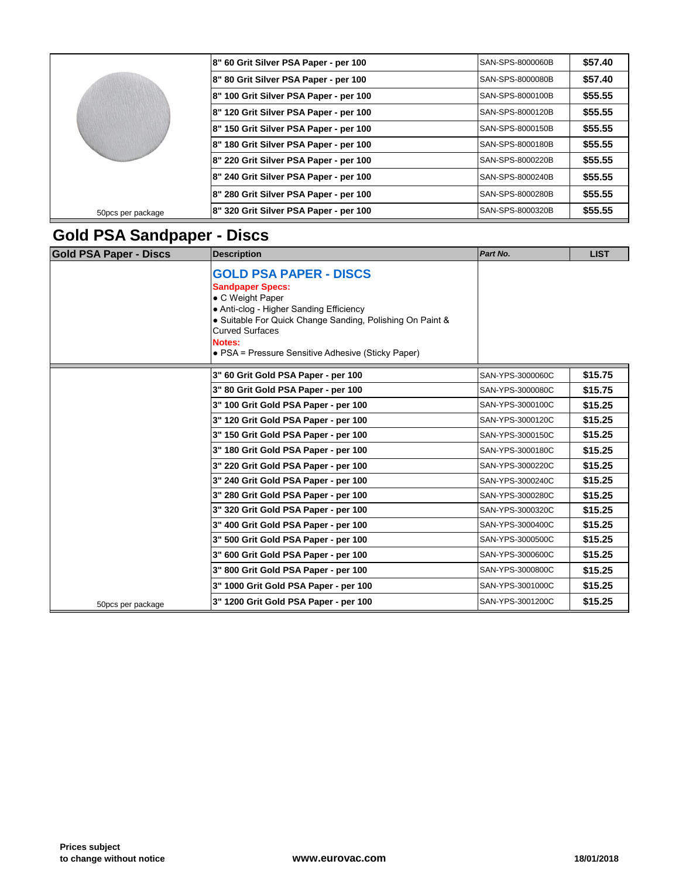|                   | 8" 60 Grit Silver PSA Paper - per 100  | SAN-SPS-8000060B         |
|-------------------|----------------------------------------|--------------------------|
|                   | 8" 80 Grit Silver PSA Paper - per 100  | SAN-SPS-8000080B         |
|                   | 8" 100 Grit Silver PSA Paper - per 100 | SAN-SPS-8000100B         |
|                   | 8" 120 Grit Silver PSA Paper - per 100 | <b>ISAN-SPS-8000120B</b> |
|                   | 8" 150 Grit Silver PSA Paper - per 100 | SAN-SPS-8000150B         |
|                   | 8" 180 Grit Silver PSA Paper - per 100 | SAN-SPS-8000180B         |
|                   | 8" 220 Grit Silver PSA Paper - per 100 | SAN-SPS-8000220B         |
|                   | 8" 240 Grit Silver PSA Paper - per 100 | SAN-SPS-8000240B         |
|                   | 8" 280 Grit Silver PSA Paper - per 100 | SAN-SPS-8000280B         |
| 50pcs per package | 8" 320 Grit Silver PSA Paper - per 100 | <b>SAN-SPS-8000320B</b>  |

## **Gold PSA Sandpaper - Discs**

| <b>Gold PSA Paper - Discs</b> | <b>Description</b>                                                                                                                                                                                                                                                             | Part No.         |
|-------------------------------|--------------------------------------------------------------------------------------------------------------------------------------------------------------------------------------------------------------------------------------------------------------------------------|------------------|
|                               | <b>GOLD PSA PAPER - DISCS</b><br><b>Sandpaper Specs:</b><br>• C Weight Paper<br>• Anti-clog - Higher Sanding Efficiency<br>• Suitable For Quick Change Sanding, Polishing On Paint &<br><b>Curved Surfaces</b><br>Notes:<br>• PSA = Pressure Sensitive Adhesive (Sticky Paper) |                  |
|                               | 3" 60 Grit Gold PSA Paper - per 100                                                                                                                                                                                                                                            | SAN-YPS-3000060C |
|                               | 3" 80 Grit Gold PSA Paper - per 100                                                                                                                                                                                                                                            | SAN-YPS-3000080C |
|                               | 3" 100 Grit Gold PSA Paper - per 100                                                                                                                                                                                                                                           | SAN-YPS-3000100C |
|                               | 3" 120 Grit Gold PSA Paper - per 100                                                                                                                                                                                                                                           | SAN-YPS-3000120C |
|                               | 3" 150 Grit Gold PSA Paper - per 100                                                                                                                                                                                                                                           | SAN-YPS-3000150C |
|                               | 3" 180 Grit Gold PSA Paper - per 100                                                                                                                                                                                                                                           | SAN-YPS-3000180C |
|                               | 3" 220 Grit Gold PSA Paper - per 100                                                                                                                                                                                                                                           | SAN-YPS-3000220C |
|                               | 3" 240 Grit Gold PSA Paper - per 100                                                                                                                                                                                                                                           | SAN-YPS-3000240C |
|                               | 3" 280 Grit Gold PSA Paper - per 100                                                                                                                                                                                                                                           | SAN-YPS-3000280C |
|                               | 3" 320 Grit Gold PSA Paper - per 100                                                                                                                                                                                                                                           | SAN-YPS-3000320C |
|                               | 3" 400 Grit Gold PSA Paper - per 100                                                                                                                                                                                                                                           | SAN-YPS-3000400C |
|                               | 3" 500 Grit Gold PSA Paper - per 100                                                                                                                                                                                                                                           | SAN-YPS-3000500C |
|                               | 3" 600 Grit Gold PSA Paper - per 100                                                                                                                                                                                                                                           | SAN-YPS-3000600C |
|                               | 3" 800 Grit Gold PSA Paper - per 100                                                                                                                                                                                                                                           | SAN-YPS-3000800C |
|                               | 3" 1000 Grit Gold PSA Paper - per 100                                                                                                                                                                                                                                          | SAN-YPS-3001000C |
| 50pcs per package             | 3" 1200 Grit Gold PSA Paper - per 100                                                                                                                                                                                                                                          | SAN-YPS-3001200C |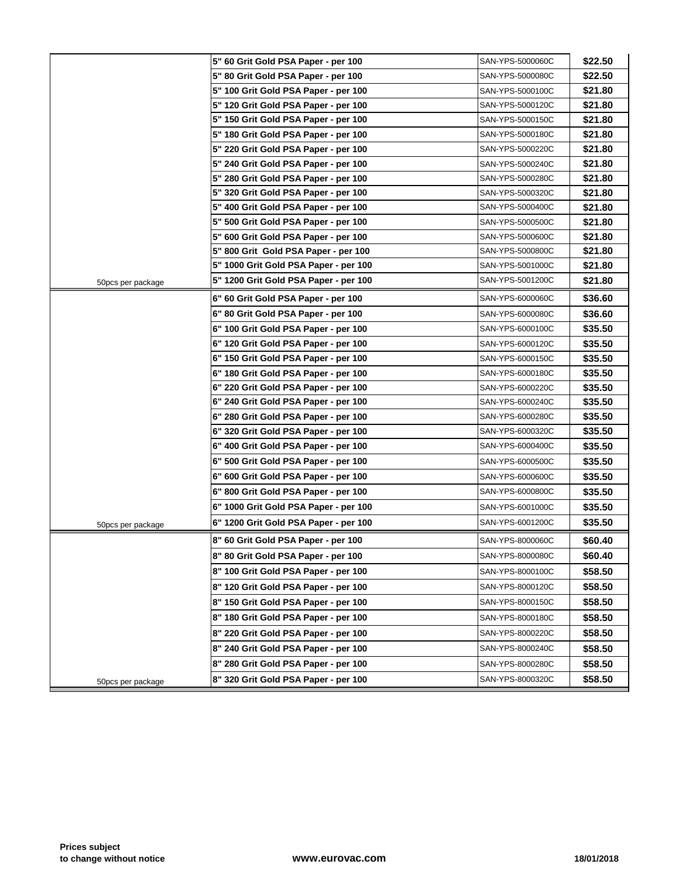|                   | 5" 60 Grit Gold PSA Paper - per 100   | SAN-YPS-5000060C |
|-------------------|---------------------------------------|------------------|
|                   | 5" 80 Grit Gold PSA Paper - per 100   | SAN-YPS-5000080C |
|                   | 5" 100 Grit Gold PSA Paper - per 100  | SAN-YPS-5000100C |
|                   | 5" 120 Grit Gold PSA Paper - per 100  | SAN-YPS-5000120C |
|                   | 5" 150 Grit Gold PSA Paper - per 100  | SAN-YPS-5000150C |
|                   | 5" 180 Grit Gold PSA Paper - per 100  | SAN-YPS-5000180C |
|                   | 5" 220 Grit Gold PSA Paper - per 100  | SAN-YPS-5000220C |
|                   | 5" 240 Grit Gold PSA Paper - per 100  | SAN-YPS-5000240C |
|                   | 5" 280 Grit Gold PSA Paper - per 100  | SAN-YPS-5000280C |
|                   | 5" 320 Grit Gold PSA Paper - per 100  | SAN-YPS-5000320C |
|                   | 5" 400 Grit Gold PSA Paper - per 100  | SAN-YPS-5000400C |
|                   | 5" 500 Grit Gold PSA Paper - per 100  | SAN-YPS-5000500C |
|                   | 5" 600 Grit Gold PSA Paper - per 100  | SAN-YPS-5000600C |
|                   | 5" 800 Grit Gold PSA Paper - per 100  | SAN-YPS-5000800C |
|                   | 5" 1000 Grit Gold PSA Paper - per 100 | SAN-YPS-5001000C |
| 50pcs per package | 5" 1200 Grit Gold PSA Paper - per 100 | SAN-YPS-5001200C |
|                   | 6" 60 Grit Gold PSA Paper - per 100   | SAN-YPS-6000060C |
|                   | 6" 80 Grit Gold PSA Paper - per 100   | SAN-YPS-6000080C |
|                   | 6" 100 Grit Gold PSA Paper - per 100  | SAN-YPS-6000100C |
|                   | 6" 120 Grit Gold PSA Paper - per 100  | SAN-YPS-6000120C |
|                   | 6" 150 Grit Gold PSA Paper - per 100  | SAN-YPS-6000150C |
|                   | 6" 180 Grit Gold PSA Paper - per 100  | SAN-YPS-6000180C |
|                   | 6" 220 Grit Gold PSA Paper - per 100  | SAN-YPS-6000220C |
|                   | 6" 240 Grit Gold PSA Paper - per 100  | SAN-YPS-6000240C |
|                   | 6" 280 Grit Gold PSA Paper - per 100  | SAN-YPS-6000280C |
|                   | 6" 320 Grit Gold PSA Paper - per 100  | SAN-YPS-6000320C |
|                   | 6" 400 Grit Gold PSA Paper - per 100  | SAN-YPS-6000400C |
|                   | 6" 500 Grit Gold PSA Paper - per 100  | SAN-YPS-6000500C |
|                   | 6" 600 Grit Gold PSA Paper - per 100  | SAN-YPS-6000600C |
|                   | 6" 800 Grit Gold PSA Paper - per 100  | SAN-YPS-6000800C |
|                   | 6" 1000 Grit Gold PSA Paper - per 100 | SAN-YPS-6001000C |
| 50pcs per package | 6" 1200 Grit Gold PSA Paper - per 100 | SAN-YPS-6001200C |
|                   | 8" 60 Grit Gold PSA Paper - per 100   | SAN-YPS-8000060C |
|                   | 8" 80 Grit Gold PSA Paper - per 100   | SAN-YPS-8000080C |
|                   | 8" 100 Grit Gold PSA Paper - per 100  | SAN-YPS-8000100C |
|                   | 8" 120 Grit Gold PSA Paper - per 100  | SAN-YPS-8000120C |
|                   | 8" 150 Grit Gold PSA Paper - per 100  | SAN-YPS-8000150C |
|                   | 8" 180 Grit Gold PSA Paper - per 100  | SAN-YPS-8000180C |
|                   | 8" 220 Grit Gold PSA Paper - per 100  | SAN-YPS-8000220C |
|                   | 8" 240 Grit Gold PSA Paper - per 100  | SAN-YPS-8000240C |
|                   | 8" 280 Grit Gold PSA Paper - per 100  | SAN-YPS-8000280C |
| 50pcs per package | 8" 320 Grit Gold PSA Paper - per 100  | SAN-YPS-8000320C |
|                   |                                       |                  |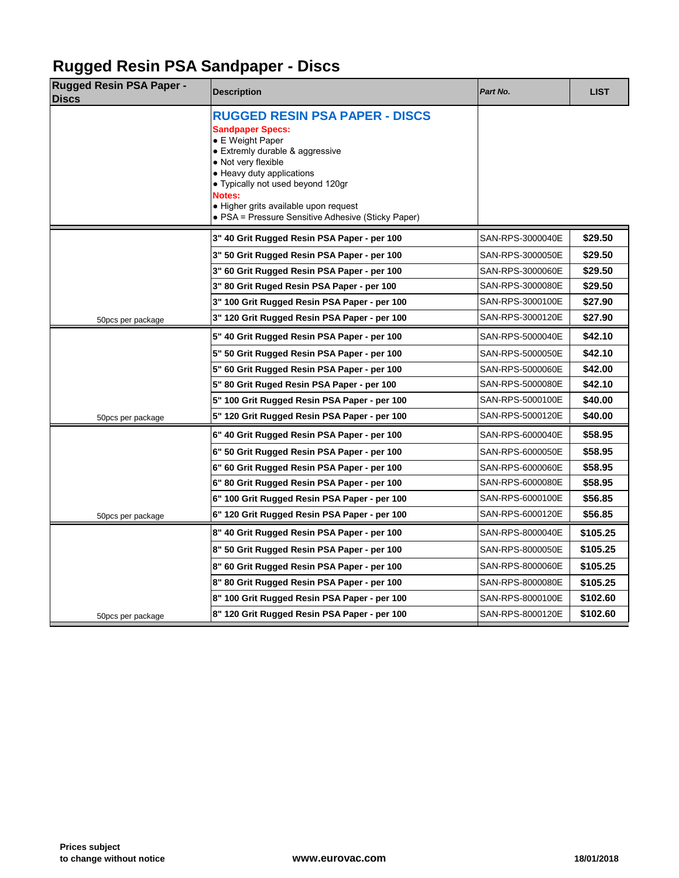## **Rugged Resin PSA Sandpaper - Discs**

| <b>Description</b>                                                                                                                                                                                                                                                                                                        | Part No.         |  |
|---------------------------------------------------------------------------------------------------------------------------------------------------------------------------------------------------------------------------------------------------------------------------------------------------------------------------|------------------|--|
| <b>RUGGED RESIN PSA PAPER - DISCS</b><br><b>Sandpaper Specs:</b><br>• E Weight Paper<br>• Extremly durable & aggressive<br>• Not very flexible<br>• Heavy duty applications<br>• Typically not used beyond 120gr<br>Notes:<br>• Higher grits available upon request<br>• PSA = Pressure Sensitive Adhesive (Sticky Paper) |                  |  |
| 3" 40 Grit Rugged Resin PSA Paper - per 100                                                                                                                                                                                                                                                                               | SAN-RPS-3000040E |  |
| 3" 50 Grit Rugged Resin PSA Paper - per 100                                                                                                                                                                                                                                                                               | SAN-RPS-3000050E |  |
| 3" 60 Grit Rugged Resin PSA Paper - per 100                                                                                                                                                                                                                                                                               | SAN-RPS-3000060E |  |
| 3" 80 Grit Ruged Resin PSA Paper - per 100                                                                                                                                                                                                                                                                                | SAN-RPS-3000080E |  |
| 3" 100 Grit Rugged Resin PSA Paper - per 100                                                                                                                                                                                                                                                                              | SAN-RPS-3000100E |  |
| 3" 120 Grit Rugged Resin PSA Paper - per 100                                                                                                                                                                                                                                                                              | SAN-RPS-3000120E |  |
| 5" 40 Grit Rugged Resin PSA Paper - per 100                                                                                                                                                                                                                                                                               | SAN-RPS-5000040E |  |
| 5" 50 Grit Rugged Resin PSA Paper - per 100                                                                                                                                                                                                                                                                               | SAN-RPS-5000050E |  |
| 5" 60 Grit Rugged Resin PSA Paper - per 100                                                                                                                                                                                                                                                                               | SAN-RPS-5000060E |  |
| 5" 80 Grit Ruged Resin PSA Paper - per 100                                                                                                                                                                                                                                                                                | SAN-RPS-5000080E |  |
| 5" 100 Grit Rugged Resin PSA Paper - per 100                                                                                                                                                                                                                                                                              | SAN-RPS-5000100E |  |
| 5" 120 Grit Rugged Resin PSA Paper - per 100                                                                                                                                                                                                                                                                              | SAN-RPS-5000120E |  |
| 6" 40 Grit Rugged Resin PSA Paper - per 100                                                                                                                                                                                                                                                                               | SAN-RPS-6000040E |  |
| 6" 50 Grit Rugged Resin PSA Paper - per 100                                                                                                                                                                                                                                                                               | SAN-RPS-6000050E |  |
| 6" 60 Grit Rugged Resin PSA Paper - per 100                                                                                                                                                                                                                                                                               | SAN-RPS-6000060E |  |
| 6" 80 Grit Rugged Resin PSA Paper - per 100                                                                                                                                                                                                                                                                               | SAN-RPS-6000080E |  |
| 6" 100 Grit Rugged Resin PSA Paper - per 100                                                                                                                                                                                                                                                                              | SAN-RPS-6000100E |  |
| 6" 120 Grit Rugged Resin PSA Paper - per 100                                                                                                                                                                                                                                                                              | SAN-RPS-6000120E |  |
| 8" 40 Grit Rugged Resin PSA Paper - per 100                                                                                                                                                                                                                                                                               | SAN-RPS-8000040E |  |
| 8" 50 Grit Rugged Resin PSA Paper - per 100                                                                                                                                                                                                                                                                               | SAN-RPS-8000050E |  |
| 8" 60 Grit Rugged Resin PSA Paper - per 100                                                                                                                                                                                                                                                                               | SAN-RPS-8000060E |  |
| 8" 80 Grit Rugged Resin PSA Paper - per 100                                                                                                                                                                                                                                                                               | SAN-RPS-8000080E |  |
| 8" 100 Grit Rugged Resin PSA Paper - per 100                                                                                                                                                                                                                                                                              | SAN-RPS-8000100E |  |
| 8" 120 Grit Rugged Resin PSA Paper - per 100                                                                                                                                                                                                                                                                              | SAN-RPS-8000120E |  |
|                                                                                                                                                                                                                                                                                                                           |                  |  |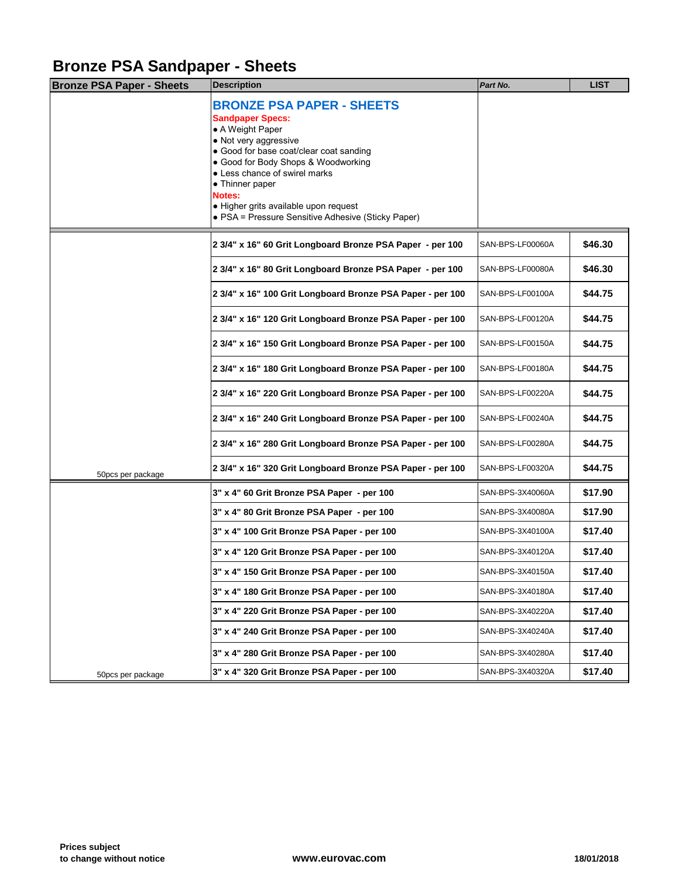#### **Bronze PSA Sandpaper - Sheets**

| <b>Bronze PSA Paper - Sheets</b> | <b>Description</b>                                                                                                                                                                                                                                                                                                                                      | Part No.         |
|----------------------------------|---------------------------------------------------------------------------------------------------------------------------------------------------------------------------------------------------------------------------------------------------------------------------------------------------------------------------------------------------------|------------------|
|                                  | <b>BRONZE PSA PAPER - SHEETS</b><br><b>Sandpaper Specs:</b><br>• A Weight Paper<br>• Not very aggressive<br>• Good for base coat/clear coat sanding<br>• Good for Body Shops & Woodworking<br>• Less chance of swirel marks<br>• Thinner paper<br>Notes:<br>· Higher grits available upon request<br>• PSA = Pressure Sensitive Adhesive (Sticky Paper) |                  |
|                                  | 2 3/4" x 16" 60 Grit Longboard Bronze PSA Paper - per 100                                                                                                                                                                                                                                                                                               | SAN-BPS-LF00060A |
|                                  | 2 3/4" x 16" 80 Grit Longboard Bronze PSA Paper - per 100                                                                                                                                                                                                                                                                                               | SAN-BPS-LF00080A |
|                                  | 2 3/4" x 16" 100 Grit Longboard Bronze PSA Paper - per 100                                                                                                                                                                                                                                                                                              | SAN-BPS-LF00100A |
|                                  | 2 3/4" x 16" 120 Grit Longboard Bronze PSA Paper - per 100                                                                                                                                                                                                                                                                                              | SAN-BPS-LF00120A |
|                                  | 2 3/4" x 16" 150 Grit Longboard Bronze PSA Paper - per 100                                                                                                                                                                                                                                                                                              | SAN-BPS-LF00150A |
|                                  | 2 3/4" x 16" 180 Grit Longboard Bronze PSA Paper - per 100                                                                                                                                                                                                                                                                                              | SAN-BPS-LF00180A |
|                                  | 2 3/4" x 16" 220 Grit Longboard Bronze PSA Paper - per 100                                                                                                                                                                                                                                                                                              | SAN-BPS-LF00220A |
|                                  | 2 3/4" x 16" 240 Grit Longboard Bronze PSA Paper - per 100                                                                                                                                                                                                                                                                                              | SAN-BPS-LF00240A |
|                                  | 2 3/4" x 16" 280 Grit Longboard Bronze PSA Paper - per 100                                                                                                                                                                                                                                                                                              | SAN-BPS-LF00280A |
| 50pcs per package                | 2 3/4" x 16" 320 Grit Longboard Bronze PSA Paper - per 100                                                                                                                                                                                                                                                                                              | SAN-BPS-LF00320A |
|                                  | 3" x 4" 60 Grit Bronze PSA Paper - per 100                                                                                                                                                                                                                                                                                                              | SAN-BPS-3X40060A |
|                                  | 3" x 4" 80 Grit Bronze PSA Paper - per 100                                                                                                                                                                                                                                                                                                              | SAN-BPS-3X40080A |
|                                  | 3" x 4" 100 Grit Bronze PSA Paper - per 100                                                                                                                                                                                                                                                                                                             | SAN-BPS-3X40100A |
|                                  | 3" x 4" 120 Grit Bronze PSA Paper - per 100                                                                                                                                                                                                                                                                                                             | SAN-BPS-3X40120A |
|                                  | 3" x 4" 150 Grit Bronze PSA Paper - per 100                                                                                                                                                                                                                                                                                                             | SAN-BPS-3X40150A |
|                                  | 3" x 4" 180 Grit Bronze PSA Paper - per 100                                                                                                                                                                                                                                                                                                             | SAN-BPS-3X40180A |
|                                  | 3" x 4" 220 Grit Bronze PSA Paper - per 100                                                                                                                                                                                                                                                                                                             | SAN-BPS-3X40220A |
|                                  | 3" x 4" 240 Grit Bronze PSA Paper - per 100                                                                                                                                                                                                                                                                                                             | SAN-BPS-3X40240A |
|                                  | 3" x 4" 280 Grit Bronze PSA Paper - per 100                                                                                                                                                                                                                                                                                                             | SAN-BPS-3X40280A |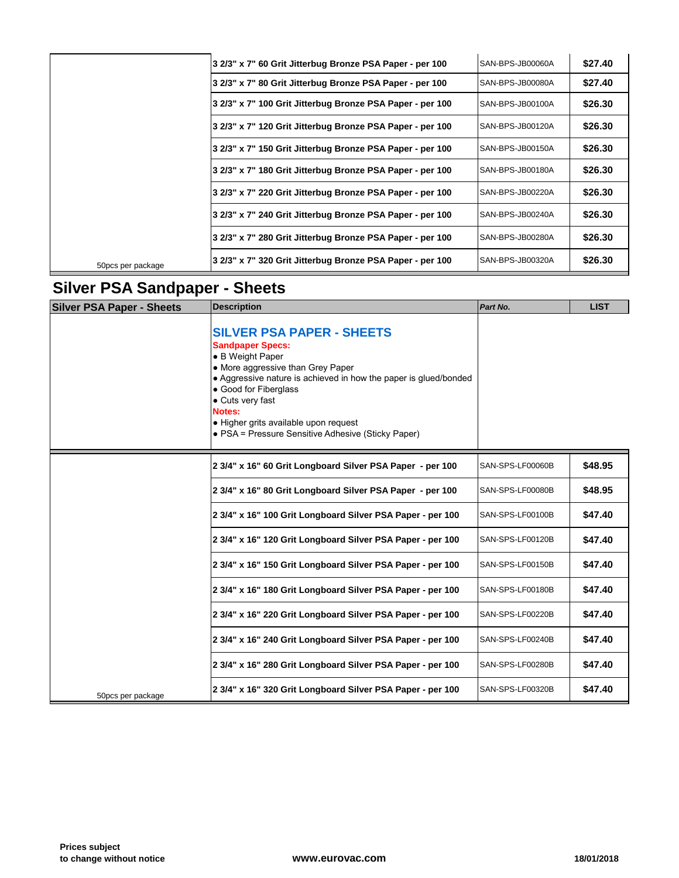|                   | 3 2/3" x 7" 60 Grit Jitterbug Bronze PSA Paper - per 100  | SAN-BPS-JB00060A |
|-------------------|-----------------------------------------------------------|------------------|
|                   | 3 2/3" x 7" 80 Grit Jitterbug Bronze PSA Paper - per 100  | SAN-BPS-JB00080A |
|                   | 3 2/3" x 7" 100 Grit Jitterbug Bronze PSA Paper - per 100 | SAN-BPS-JB00100A |
|                   | 3 2/3" x 7" 120 Grit Jitterbug Bronze PSA Paper - per 100 | SAN-BPS-JB00120A |
|                   | 3 2/3" x 7" 150 Grit Jitterbug Bronze PSA Paper - per 100 | SAN-BPS-JB00150A |
|                   | 3 2/3" x 7" 180 Grit Jitterbug Bronze PSA Paper - per 100 | SAN-BPS-JB00180A |
|                   | 3 2/3" x 7" 220 Grit Jitterbug Bronze PSA Paper - per 100 | SAN-BPS-JB00220A |
|                   | 3 2/3" x 7" 240 Grit Jitterbug Bronze PSA Paper - per 100 | SAN-BPS-JB00240A |
|                   | 3 2/3" x 7" 280 Grit Jitterbug Bronze PSA Paper - per 100 | SAN-BPS-JB00280A |
| 50pcs per package | 3 2/3" x 7" 320 Grit Jitterbug Bronze PSA Paper - per 100 | SAN-BPS-JB00320A |

# **Silver PSA Sandpaper - Sheets**

| <b>Silver PSA Paper - Sheets</b> | <b>Description</b>                                                                                                                                                                                                                                                                                                                             | Part No.         |
|----------------------------------|------------------------------------------------------------------------------------------------------------------------------------------------------------------------------------------------------------------------------------------------------------------------------------------------------------------------------------------------|------------------|
|                                  | <b>SILVER PSA PAPER - SHEETS</b><br><b>Sandpaper Specs:</b><br>• B Weight Paper<br>• More aggressive than Grey Paper<br>• Aggressive nature is achieved in how the paper is glued/bonded<br>• Good for Fiberglass<br>• Cuts very fast<br>Notes:<br>• Higher grits available upon request<br>• PSA = Pressure Sensitive Adhesive (Sticky Paper) |                  |
|                                  | 2 3/4" x 16" 60 Grit Longboard Silver PSA Paper - per 100                                                                                                                                                                                                                                                                                      | SAN-SPS-LF00060B |
|                                  | 2 3/4" x 16" 80 Grit Longboard Silver PSA Paper - per 100                                                                                                                                                                                                                                                                                      | SAN-SPS-LF00080B |
|                                  | 2 3/4" x 16" 100 Grit Longboard Silver PSA Paper - per 100                                                                                                                                                                                                                                                                                     | SAN-SPS-LF00100B |
|                                  | 2 3/4" x 16" 120 Grit Longboard Silver PSA Paper - per 100                                                                                                                                                                                                                                                                                     | SAN-SPS-LF00120B |
|                                  | 2 3/4" x 16" 150 Grit Longboard Silver PSA Paper - per 100                                                                                                                                                                                                                                                                                     | SAN-SPS-LF00150B |
|                                  | 2 3/4" x 16" 180 Grit Longboard Silver PSA Paper - per 100                                                                                                                                                                                                                                                                                     | SAN-SPS-LF00180B |
|                                  | 2 3/4" x 16" 220 Grit Longboard Silver PSA Paper - per 100                                                                                                                                                                                                                                                                                     | SAN-SPS-LF00220B |
|                                  | 2 3/4" x 16" 240 Grit Longboard Silver PSA Paper - per 100                                                                                                                                                                                                                                                                                     | SAN-SPS-LF00240B |
|                                  | 2 3/4" x 16" 280 Grit Longboard Silver PSA Paper - per 100                                                                                                                                                                                                                                                                                     | SAN-SPS-LF00280B |
| 50pcs per package                | 2 3/4" x 16" 320 Grit Longboard Silver PSA Paper - per 100                                                                                                                                                                                                                                                                                     | SAN-SPS-LF00320B |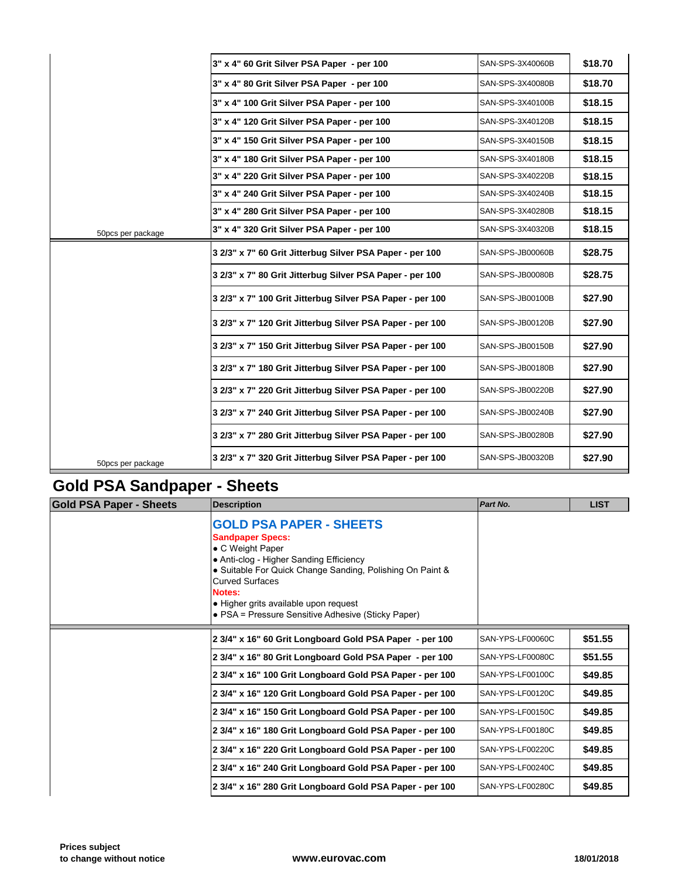|                   | 3" x 4" 60 Grit Silver PSA Paper - per 100                | SAN-SPS-3X40060B |
|-------------------|-----------------------------------------------------------|------------------|
|                   | 3" x 4" 80 Grit Silver PSA Paper - per 100                | SAN-SPS-3X40080B |
|                   | 3" x 4" 100 Grit Silver PSA Paper - per 100               | SAN-SPS-3X40100B |
|                   | 3" x 4" 120 Grit Silver PSA Paper - per 100               | SAN-SPS-3X40120B |
|                   | 3" x 4" 150 Grit Silver PSA Paper - per 100               | SAN-SPS-3X40150B |
|                   | 3" x 4" 180 Grit Silver PSA Paper - per 100               | SAN-SPS-3X40180B |
|                   | 3" x 4" 220 Grit Silver PSA Paper - per 100               | SAN-SPS-3X40220B |
|                   | 3" x 4" 240 Grit Silver PSA Paper - per 100               | SAN-SPS-3X40240B |
|                   | 3" x 4" 280 Grit Silver PSA Paper - per 100               | SAN-SPS-3X40280B |
| 50pcs per package | 3" x 4" 320 Grit Silver PSA Paper - per 100               | SAN-SPS-3X40320B |
|                   | 3 2/3" x 7" 60 Grit Jitterbug Silver PSA Paper - per 100  | SAN-SPS-JB00060B |
|                   | 3 2/3" x 7" 80 Grit Jitterbug Silver PSA Paper - per 100  | SAN-SPS-JB00080B |
|                   | 3 2/3" x 7" 100 Grit Jitterbug Silver PSA Paper - per 100 | SAN-SPS-JB00100B |
|                   | 3 2/3" x 7" 120 Grit Jitterbug Silver PSA Paper - per 100 | SAN-SPS-JB00120B |
|                   | 3 2/3" x 7" 150 Grit Jitterbug Silver PSA Paper - per 100 | SAN-SPS-JB00150B |
|                   | 3 2/3" x 7" 180 Grit Jitterbug Silver PSA Paper - per 100 | SAN-SPS-JB00180B |
|                   | 3 2/3" x 7" 220 Grit Jitterbug Silver PSA Paper - per 100 | SAN-SPS-JB00220B |
|                   | 3 2/3" x 7" 240 Grit Jitterbug Silver PSA Paper - per 100 | SAN-SPS-JB00240B |
|                   | 3 2/3" x 7" 280 Grit Jitterbug Silver PSA Paper - per 100 | SAN-SPS-JB00280B |
| 50pcs per package | 3 2/3" x 7" 320 Grit Jitterbug Silver PSA Paper - per 100 | SAN-SPS-JB00320B |

# **Gold PSA Sandpaper - Sheets**

| Gold PSA Paper - Sheets | <b>Description</b>                                                                                                                                                                                                                                                                                                       | Part No.         |
|-------------------------|--------------------------------------------------------------------------------------------------------------------------------------------------------------------------------------------------------------------------------------------------------------------------------------------------------------------------|------------------|
|                         | <b>GOLD PSA PAPER - SHEETS</b><br><b>Sandpaper Specs:</b><br>• C Weight Paper<br>• Anti-clog - Higher Sanding Efficiency<br>• Suitable For Quick Change Sanding, Polishing On Paint &<br><b>Curved Surfaces</b><br>Notes:<br>• Higher grits available upon request<br>• PSA = Pressure Sensitive Adhesive (Sticky Paper) |                  |
|                         | 2 3/4" x 16" 60 Grit Longboard Gold PSA Paper - per 100                                                                                                                                                                                                                                                                  | SAN-YPS-LF00060C |
|                         | 2 3/4" x 16" 80 Grit Longboard Gold PSA Paper - per 100                                                                                                                                                                                                                                                                  | SAN-YPS-LF00080C |
|                         | 2 3/4" x 16" 100 Grit Longboard Gold PSA Paper - per 100                                                                                                                                                                                                                                                                 | SAN-YPS-LF00100C |
|                         | 2 3/4" x 16" 120 Grit Longboard Gold PSA Paper - per 100                                                                                                                                                                                                                                                                 | SAN-YPS-LF00120C |
|                         | 2 3/4" x 16" 150 Grit Longboard Gold PSA Paper - per 100                                                                                                                                                                                                                                                                 | SAN-YPS-LF00150C |
|                         | 2 3/4" x 16" 180 Grit Longboard Gold PSA Paper - per 100                                                                                                                                                                                                                                                                 | SAN-YPS-LF00180C |
|                         | 2 3/4" x 16" 220 Grit Longboard Gold PSA Paper - per 100                                                                                                                                                                                                                                                                 | SAN-YPS-LF00220C |
|                         | 2 3/4" x 16" 240 Grit Longboard Gold PSA Paper - per 100                                                                                                                                                                                                                                                                 | SAN-YPS-LF00240C |
|                         | 2 3/4" x 16" 280 Grit Longboard Gold PSA Paper - per 100                                                                                                                                                                                                                                                                 | SAN-YPS-LF00280C |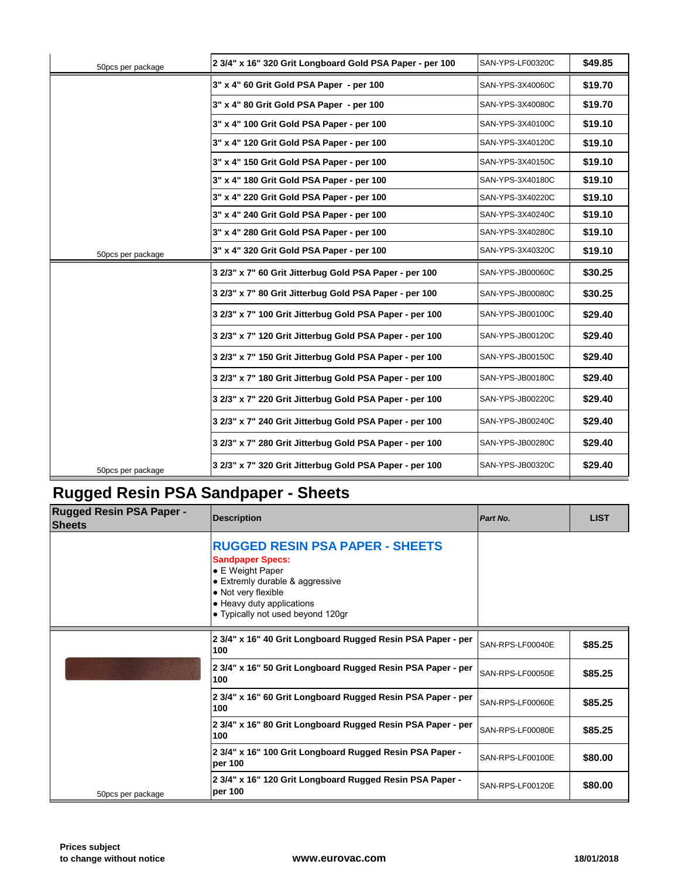| 50pcs per package | 2 3/4" x 16" 320 Grit Longboard Gold PSA Paper - per 100 | SAN-YPS-LF00320C |
|-------------------|----------------------------------------------------------|------------------|
|                   | 3" x 4" 60 Grit Gold PSA Paper - per 100                 | SAN-YPS-3X40060C |
|                   | 3" x 4" 80 Grit Gold PSA Paper - per 100                 | SAN-YPS-3X40080C |
|                   | 3" x 4" 100 Grit Gold PSA Paper - per 100                | SAN-YPS-3X40100C |
|                   | 3" x 4" 120 Grit Gold PSA Paper - per 100                | SAN-YPS-3X40120C |
|                   | 3" x 4" 150 Grit Gold PSA Paper - per 100                | SAN-YPS-3X40150C |
|                   | 3" x 4" 180 Grit Gold PSA Paper - per 100                | SAN-YPS-3X40180C |
|                   | 3" x 4" 220 Grit Gold PSA Paper - per 100                | SAN-YPS-3X40220C |
|                   | 3" x 4" 240 Grit Gold PSA Paper - per 100                | SAN-YPS-3X40240C |
|                   | 3" x 4" 280 Grit Gold PSA Paper - per 100                | SAN-YPS-3X40280C |
| 50pcs per package | 3" x 4" 320 Grit Gold PSA Paper - per 100                | SAN-YPS-3X40320C |
|                   | 3 2/3" x 7" 60 Grit Jitterbug Gold PSA Paper - per 100   | SAN-YPS-JB00060C |
|                   | 3 2/3" x 7" 80 Grit Jitterbug Gold PSA Paper - per 100   | SAN-YPS-JB00080C |
|                   | 3 2/3" x 7" 100 Grit Jitterbug Gold PSA Paper - per 100  | SAN-YPS-JB00100C |
|                   | 3 2/3" x 7" 120 Grit Jitterbug Gold PSA Paper - per 100  | SAN-YPS-JB00120C |
|                   | 3 2/3" x 7" 150 Grit Jitterbug Gold PSA Paper - per 100  | SAN-YPS-JB00150C |
|                   | 3 2/3" x 7" 180 Grit Jitterbug Gold PSA Paper - per 100  | SAN-YPS-JB00180C |
|                   | 3 2/3" x 7" 220 Grit Jitterbug Gold PSA Paper - per 100  | SAN-YPS-JB00220C |
|                   | 3 2/3" x 7" 240 Grit Jitterbug Gold PSA Paper - per 100  | SAN-YPS-JB00240C |
|                   | 3 2/3" x 7" 280 Grit Jitterbug Gold PSA Paper - per 100  | SAN-YPS-JB00280C |
| 50pcs per package | 3 2/3" x 7" 320 Grit Jitterbug Gold PSA Paper - per 100  | SAN-YPS-JB00320C |

# **Rugged Resin PSA Sandpaper - Sheets**

| <b>Rugged Resin PSA Paper -</b><br><b>Sheets</b> | <b>Description</b>                                                                                                                                                                                                | Part No.         |
|--------------------------------------------------|-------------------------------------------------------------------------------------------------------------------------------------------------------------------------------------------------------------------|------------------|
|                                                  | <b>RUGGED RESIN PSA PAPER - SHEETS</b><br><b>Sandpaper Specs:</b><br>• E Weight Paper<br>• Extremly durable & aggressive<br>• Not very flexible<br>• Heavy duty applications<br>• Typically not used beyond 120gr |                  |
|                                                  | 2 3/4" x 16" 40 Grit Longboard Rugged Resin PSA Paper - per<br>100                                                                                                                                                | SAN-RPS-LF00040E |
|                                                  | 2 3/4" x 16" 50 Grit Longboard Rugged Resin PSA Paper - per<br>100                                                                                                                                                | SAN-RPS-LF00050E |
|                                                  | 2 3/4" x 16" 60 Grit Longboard Rugged Resin PSA Paper - per<br>100                                                                                                                                                | SAN-RPS-LF00060E |
|                                                  | 2 3/4" x 16" 80 Grit Longboard Rugged Resin PSA Paper - per<br>100                                                                                                                                                | SAN-RPS-LF00080E |
|                                                  | 2 3/4" x 16" 100 Grit Longboard Rugged Resin PSA Paper -<br>per 100                                                                                                                                               | SAN-RPS-LF00100E |
| 50pcs per package                                | 2 3/4" x 16" 120 Grit Longboard Rugged Resin PSA Paper -<br>per 100                                                                                                                                               | SAN-RPS-LF00120E |